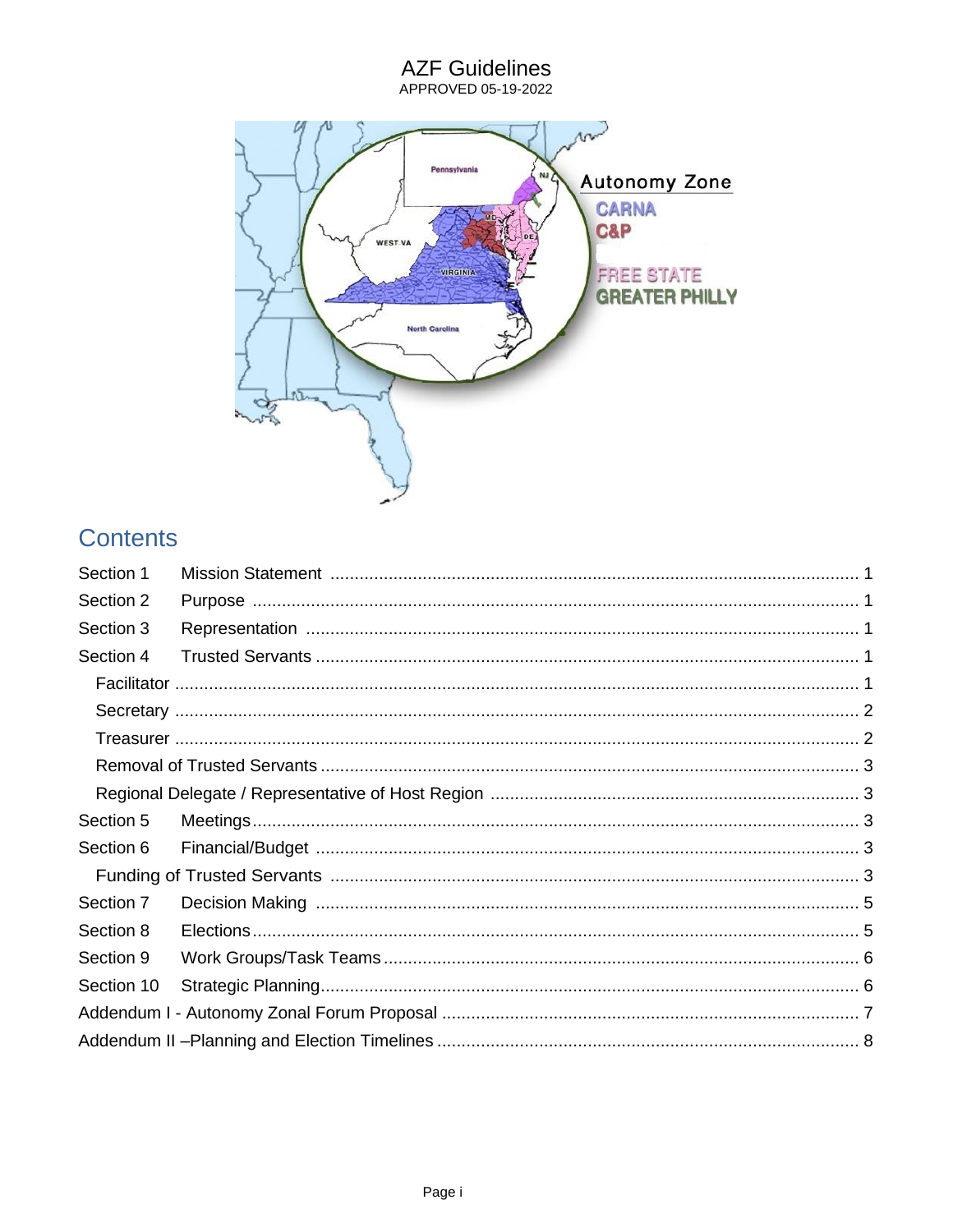# AZF Guidelines<br>APPROVED 05-19-2022 m Pennsylvania **Autonomy Zone** NJ **CARNA C&P WEST-VA** VIRGINIA **FREE STATE GREATER PHILLY North Carolina** 38

# **Contents**

| Section 1  |  |
|------------|--|
| Section 2  |  |
| Section 3  |  |
| Section 4  |  |
|            |  |
|            |  |
|            |  |
|            |  |
|            |  |
| Section 5  |  |
| Section 6  |  |
|            |  |
| Section 7  |  |
| Section 8  |  |
| Section 9  |  |
| Section 10 |  |
|            |  |
|            |  |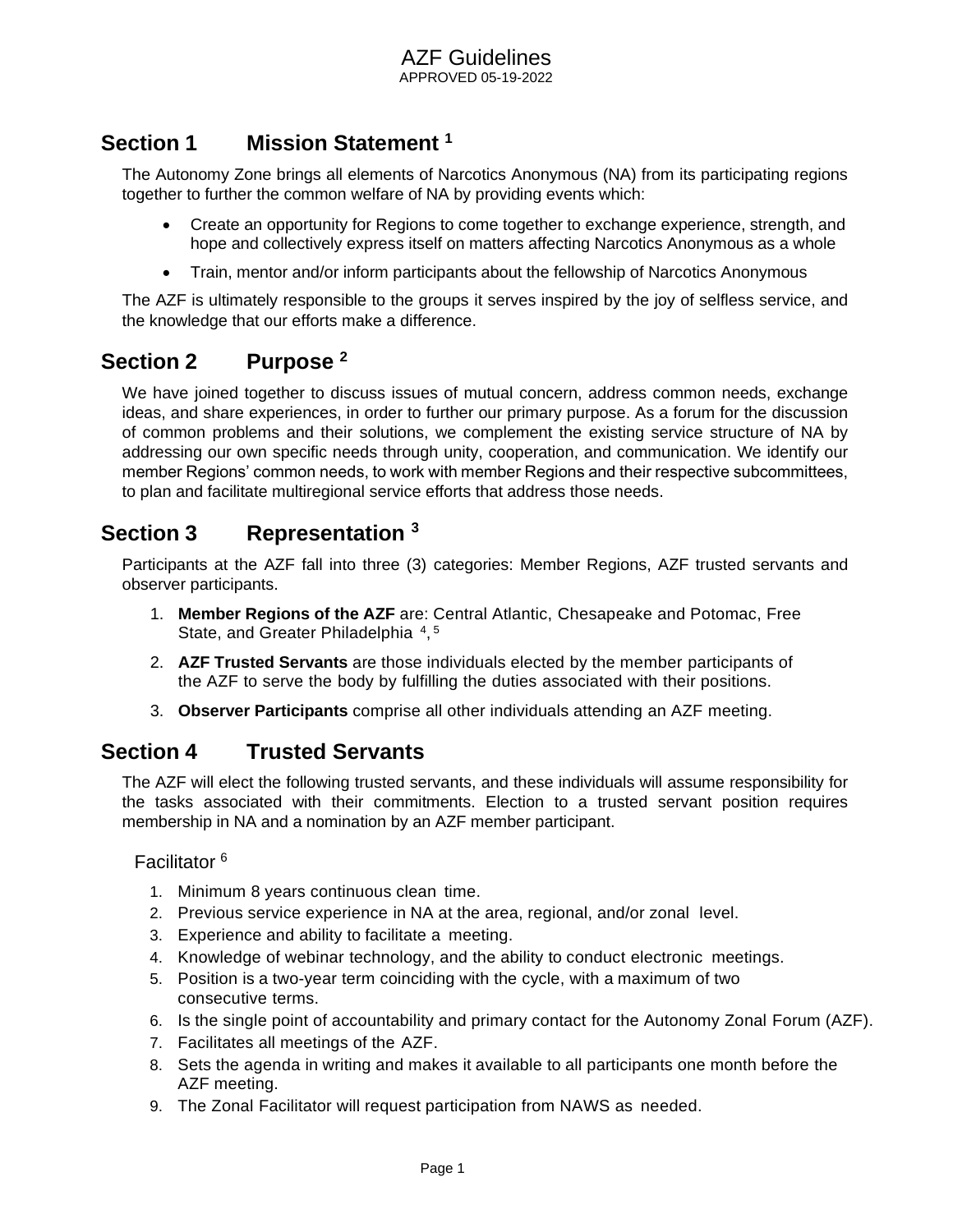## <span id="page-1-0"></span>**Section 1 Mission Statement <sup>1</sup>**

The Autonomy Zone brings all elements of Narcotics Anonymous (NA) from its participating regions together to further the common welfare of NA by providing events which:

- Create an opportunity for Regions to come together to exchange experience, strength, and hope and collectively express itself on matters affecting Narcotics Anonymous as a whole
- Train, mentor and/or inform participants about the fellowship of Narcotics Anonymous

The AZF is ultimately responsible to the groups it serves inspired by the joy of selfless service, and the knowledge that our efforts make a difference.

#### <span id="page-1-1"></span>**Section 2 Purpose <sup>2</sup>**

We have joined together to discuss issues of mutual concern, address common needs, exchange ideas, and share experiences, in order to further our primary purpose. As a forum for the discussion of common problems and their solutions, we complement the existing service structure of NA by addressing our own specific needs through unity, cooperation, and communication. We identify our member Regions' common needs, to work with member Regions and their respective subcommittees, to plan and facilitate multiregional service efforts that address those needs.

## <span id="page-1-2"></span>**Section 3 Representation <sup>3</sup>**

Participants at the AZF fall into three (3) categories: Member Regions, AZF trusted servants and observer participants.

- 1. **Member Regions of the AZF** are: Central Atlantic, Chesapeake and Potomac, Free State, and Greater Philadelphia<sup>4</sup>,<sup>5</sup>
- 2. **AZF Trusted Servants** are those individuals elected by the member participants of the AZF to serve the body by fulfilling the duties associated with their positions.
- 3. **Observer Participants** comprise all other individuals attending an AZF meeting.

## <span id="page-1-3"></span>**Section 4 Trusted Servants**

The AZF will elect the following trusted servants, and these individuals will assume responsibility for the tasks associated with their commitments. Election to a trusted servant position requires membership in NA and a nomination by an AZF member participant.

#### <span id="page-1-4"></span>Facilitator <sup>6</sup>

- 1. Minimum 8 years continuous clean time.
- 2. Previous service experience in NA at the area, regional, and/or zonal level.
- 3. Experience and ability to facilitate a meeting.
- 4. Knowledge of webinar technology, and the ability to conduct electronic meetings.
- 5. Position is a two-year term coinciding with the cycle, with a maximum of two consecutive terms.
- 6. Is the single point of accountability and primary contact for the Autonomy Zonal Forum (AZF).
- 7. Facilitates all meetings of the AZF.
- 8. Sets the agenda in writing and makes it available to all participants one month before the AZF meeting.
- 9. The Zonal Facilitator will request participation from NAWS as needed.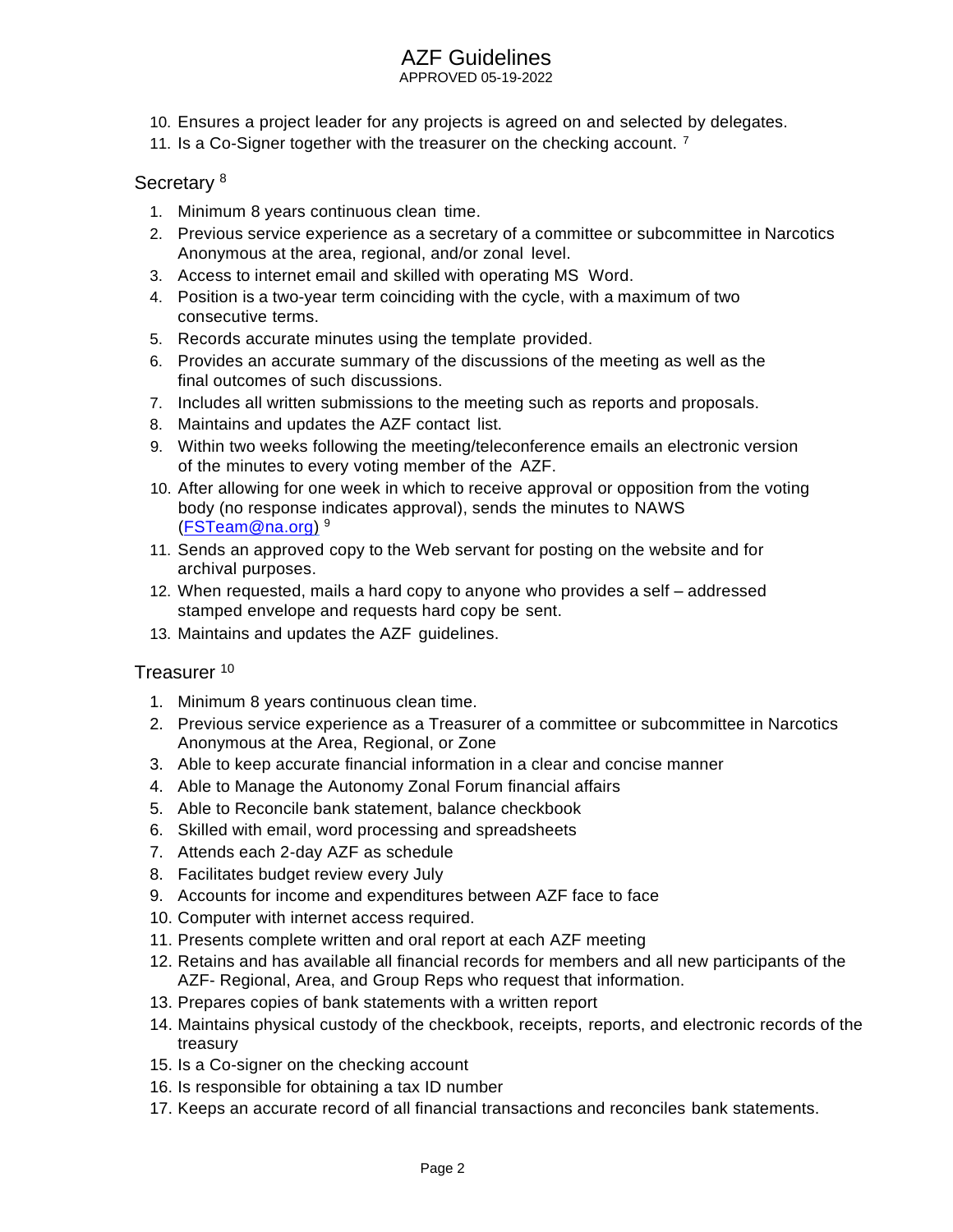APPROVED 05-19-2022

- 10. Ensures a project leader for any projects is agreed on and selected by delegates.
- 11. Is a Co-Signer together with the treasurer on the checking account.  $<sup>7</sup>$ </sup>

#### <span id="page-2-0"></span>Secretary<sup>8</sup>

- 1. Minimum 8 years continuous clean time.
- 2. Previous service experience as a secretary of a committee or subcommittee in Narcotics Anonymous at the area, regional, and/or zonal level.
- 3. Access to internet email and skilled with operating MS Word.
- 4. Position is a two-year term coinciding with the cycle, with a maximum of two consecutive terms.
- 5. Records accurate minutes using the template provided.
- 6. Provides an accurate summary of the discussions of the meeting as well as the final outcomes of such discussions.
- 7. Includes all written submissions to the meeting such as reports and proposals.
- 8. Maintains and updates the AZF contact list.
- 9. Within two weeks following the meeting/teleconference emails an electronic version of the minutes to every voting member of the AZF.
- 10. After allowing for one week in which to receive approval or opposition from the voting body (no response indicates approval), sends the minutes to NAWS [\(FSTeam@na.org\)](mailto:FSTeam@na.org)<sup>9</sup>
- 11. Sends an approved copy to the Web servant for posting on the website and for archival purposes.
- 12. When requested, mails a hard copy to anyone who provides a self addressed stamped envelope and requests hard copy be sent.
- 13. Maintains and updates the AZF guidelines.

#### <span id="page-2-1"></span>Treasurer <sup>10</sup>

- 1. Minimum 8 years continuous clean time.
- 2. Previous service experience as a Treasurer of a committee or subcommittee in Narcotics Anonymous at the Area, Regional, or Zone
- 3. Able to keep accurate financial information in a clear and concise manner
- 4. Able to Manage the Autonomy Zonal Forum financial affairs
- 5. Able to Reconcile bank statement, balance checkbook
- 6. Skilled with email, word processing and spreadsheets
- 7. Attends each 2-day AZF as schedule
- 8. Facilitates budget review every July
- 9. Accounts for income and expenditures between AZF face to face
- 10. Computer with internet access required.
- 11. Presents complete written and oral report at each AZF meeting
- 12. Retains and has available all financial records for members and all new participants of the AZF- Regional, Area, and Group Reps who request that information.
- 13. Prepares copies of bank statements with a written report
- 14. Maintains physical custody of the checkbook, receipts, reports, and electronic records of the treasury
- 15. Is a Co-signer on the checking account
- 16. Is responsible for obtaining a tax ID number
- 17. Keeps an accurate record of all financial transactions and reconciles bank statements.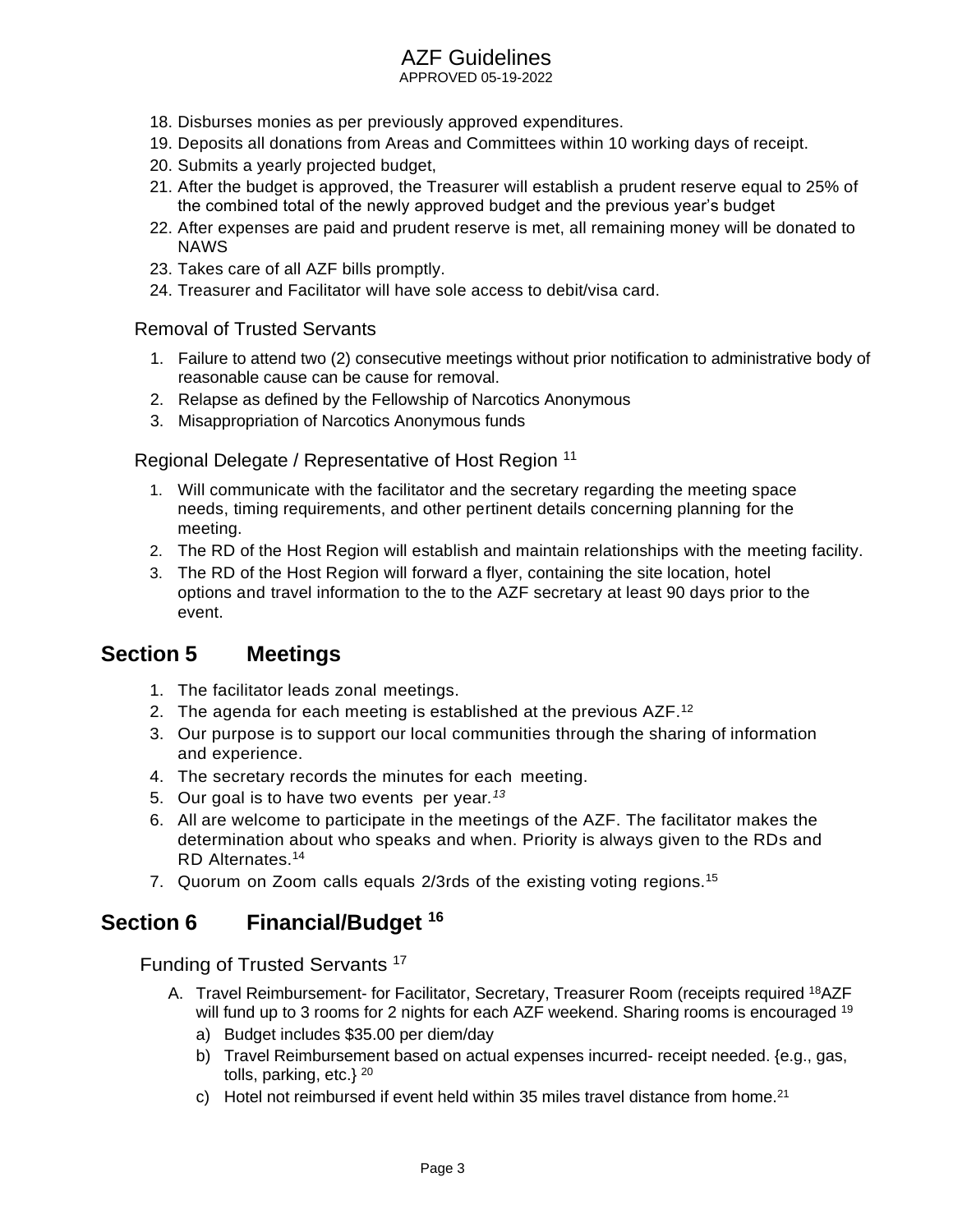APPROVED 05-19-2022

- 18. Disburses monies as per previously approved expenditures.
- 19. Deposits all donations from Areas and Committees within 10 working days of receipt.
- 20. Submits a yearly projected budget,
- 21. After the budget is approved, the Treasurer will establish a prudent reserve equal to 25% of the combined total of the newly approved budget and the previous year's budget
- 22. After expenses are paid and prudent reserve is met, all remaining money will be donated to NAWS
- 23. Takes care of all AZF bills promptly.
- 24. Treasurer and Facilitator will have sole access to debit/visa card.

#### <span id="page-3-0"></span>Removal of Trusted Servants

- 1. Failure to attend two (2) consecutive meetings without prior notification to administrative body of reasonable cause can be cause for removal.
- 2. Relapse as defined by the Fellowship of Narcotics Anonymous
- 3. Misappropriation of Narcotics Anonymous funds

<span id="page-3-1"></span>Regional Delegate / Representative of Host Region <sup>11</sup>

- 1. Will communicate with the facilitator and the secretary regarding the meeting space needs, timing requirements, and other pertinent details concerning planning for the meeting.
- 2. The RD of the Host Region will establish and maintain relationships with the meeting facility.
- 3. The RD of the Host Region will forward a flyer, containing the site location, hotel options and travel information to the to the AZF secretary at least 90 days prior to the event.

#### <span id="page-3-2"></span>**Section 5 Meetings**

- 1. The facilitator leads zonal meetings.
- 2. The agenda for each meeting is established at the previous AZF.<sup>12</sup>
- 3. Our purpose is to support our local communities through the sharing of information and experience.
- 4. The secretary records the minutes for each meeting.
- 5. Our goal is to have two events per year*. 13*
- 6. All are welcome to participate in the meetings of the AZF. The facilitator makes the determination about who speaks and when. Priority is always given to the RDs and RD Alternates.<sup>14</sup>
- 7. Quorum on Zoom calls equals 2/3rds of the existing voting regions.<sup>15</sup>

#### <span id="page-3-3"></span>**Section 6 Financial/Budget <sup>16</sup>**

<span id="page-3-4"></span>Funding of Trusted Servants<sup>17</sup>

- A. Travel Reimbursement- for Facilitator, Secretary, Treasurer Room (receipts required <sup>18</sup>AZF will fund up to 3 rooms for 2 nights for each AZF weekend. Sharing rooms is encouraged <sup>19</sup>
	- a) Budget includes \$35.00 per diem/day
	- b) Travel Reimbursement based on actual expenses incurred- receipt needed. {e.g., gas, tolls, parking, etc.}  $^{20}$
	- c) Hotel not reimbursed if event held within 35 miles travel distance from home.<sup>21</sup>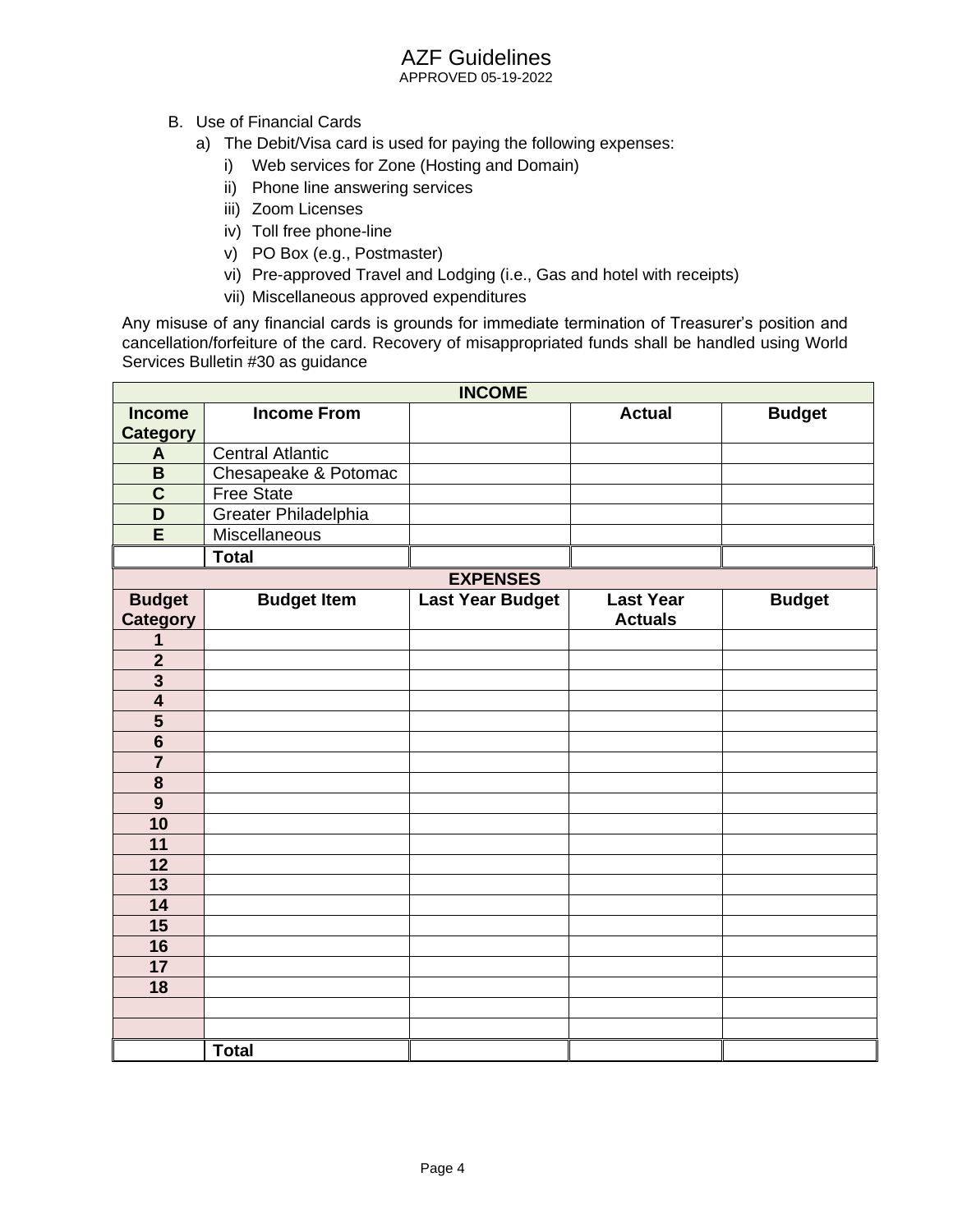APPROVED 05-19-2022

- B. Use of Financial Cards
	- a) The Debit/Visa card is used for paying the following expenses:
		- i) Web services for Zone (Hosting and Domain)
		- ii) Phone line answering services
		- iii) Zoom Licenses
		- iv) Toll free phone-line
		- v) PO Box (e.g., Postmaster)
		- vi) Pre-approved Travel and Lodging (i.e., Gas and hotel with receipts)
		- vii) Miscellaneous approved expenditures

Any misuse of any financial cards is grounds for immediate termination of Treasurer's position and cancellation/forfeiture of the card. Recovery of misappropriated funds shall be handled using World Services Bulletin #30 as guidance

| <b>INCOME</b>           |                         |                         |                  |               |
|-------------------------|-------------------------|-------------------------|------------------|---------------|
| <b>Income</b>           | <b>Income From</b>      |                         | <b>Actual</b>    | <b>Budget</b> |
| <b>Category</b>         |                         |                         |                  |               |
| A                       | <b>Central Atlantic</b> |                         |                  |               |
| B                       | Chesapeake & Potomac    |                         |                  |               |
| $\overline{\mathbf{C}}$ | <b>Free State</b>       |                         |                  |               |
| D                       | Greater Philadelphia    |                         |                  |               |
| E                       | <b>Miscellaneous</b>    |                         |                  |               |
|                         | <b>Total</b>            |                         |                  |               |
|                         |                         | <b>EXPENSES</b>         |                  |               |
| <b>Budget</b>           | <b>Budget Item</b>      | <b>Last Year Budget</b> | <b>Last Year</b> | <b>Budget</b> |
| <b>Category</b>         |                         |                         | <b>Actuals</b>   |               |
| 1                       |                         |                         |                  |               |
| $\overline{\mathbf{2}}$ |                         |                         |                  |               |
| $\overline{\mathbf{3}}$ |                         |                         |                  |               |
| $\overline{\mathbf{4}}$ |                         |                         |                  |               |
| $\overline{\mathbf{5}}$ |                         |                         |                  |               |
| $\overline{\mathbf{6}}$ |                         |                         |                  |               |
|                         |                         |                         |                  |               |
| 8                       |                         |                         |                  |               |
| $\overline{9}$          |                         |                         |                  |               |
| 10                      |                         |                         |                  |               |
| 11                      |                         |                         |                  |               |
| 12                      |                         |                         |                  |               |
| 13                      |                         |                         |                  |               |
| $\overline{14}$         |                         |                         |                  |               |
| 15                      |                         |                         |                  |               |
| 16                      |                         |                         |                  |               |
| 17                      |                         |                         |                  |               |
| 18                      |                         |                         |                  |               |
|                         |                         |                         |                  |               |
|                         |                         |                         |                  |               |
|                         | <b>Total</b>            |                         |                  |               |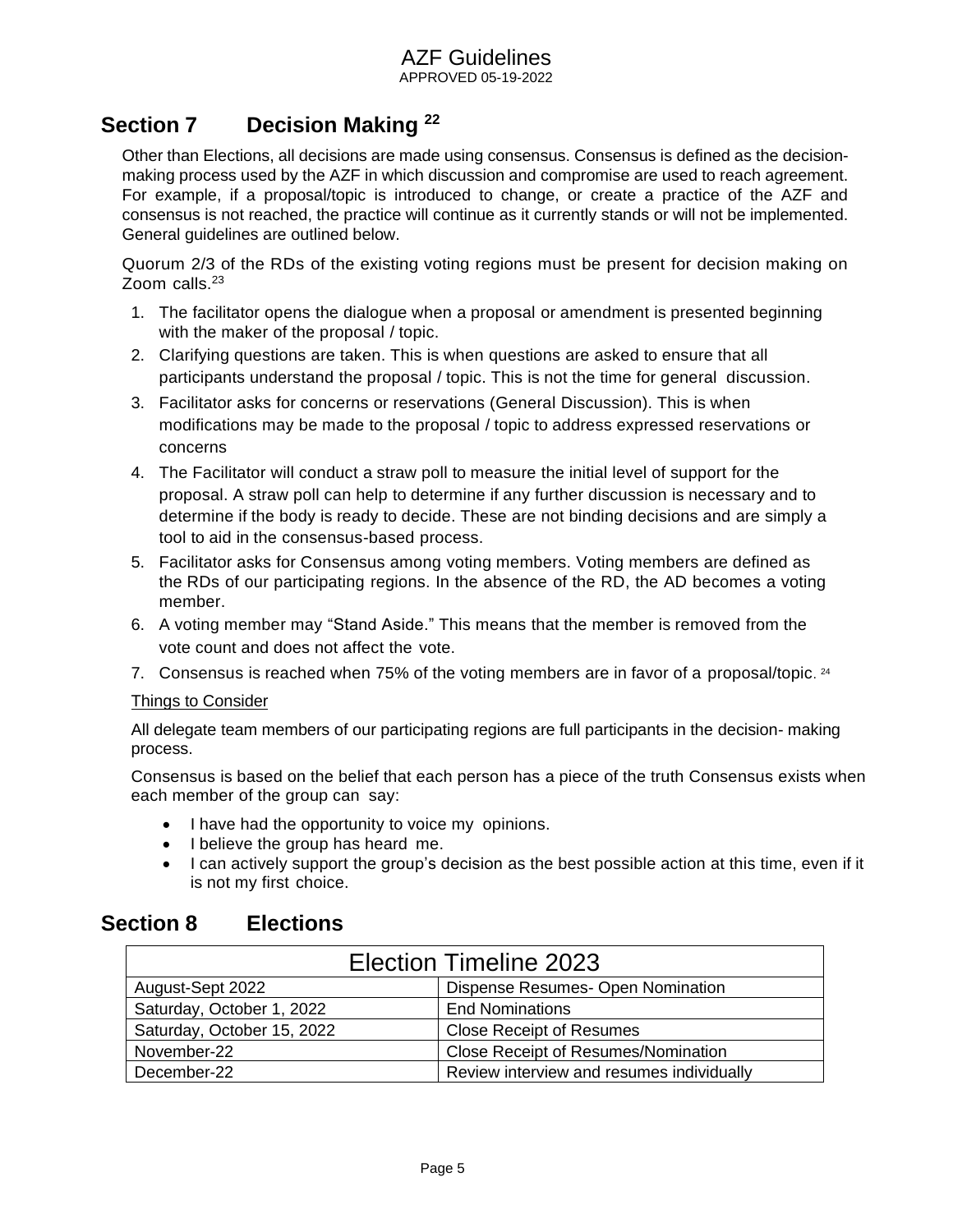#### APPROVED 05-19-2022

## <span id="page-5-0"></span>**Section 7 Decision Making <sup>22</sup>**

Other than Elections, all decisions are made using consensus. Consensus is defined as the decisionmaking process used by the AZF in which discussion and compromise are used to reach agreement. For example, if a proposal/topic is introduced to change, or create a practice of the AZF and consensus is not reached, the practice will continue as it currently stands or will not be implemented. General guidelines are outlined below.

Quorum 2/3 of the RDs of the existing voting regions must be present for decision making on Zoom calls.<sup>23</sup>

- 1. The facilitator opens the dialogue when a proposal or amendment is presented beginning with the maker of the proposal / topic.
- 2. Clarifying questions are taken. This is when questions are asked to ensure that all participants understand the proposal / topic. This is not the time for general discussion.
- 3. Facilitator asks for concerns or reservations (General Discussion). This is when modifications may be made to the proposal / topic to address expressed reservations or concerns
- 4. The Facilitator will conduct a straw poll to measure the initial level of support for the proposal. A straw poll can help to determine if any further discussion is necessary and to determine if the body is ready to decide. These are not binding decisions and are simply a tool to aid in the consensus-based process.
- 5. Facilitator asks for Consensus among voting members. Voting members are defined as the RDs of our participating regions. In the absence of the RD, the AD becomes a voting member.
- 6. A voting member may "Stand Aside." This means that the member is removed from the vote count and does not affect the vote.
- 7. Consensus is reached when 75% of the voting members are in favor of a proposal/topic.  $24$

#### Things to Consider

All delegate team members of our participating regions are full participants in the decision- making process.

Consensus is based on the belief that each person has a piece of the truth Consensus exists when each member of the group can say:

- I have had the opportunity to voice my opinions.
- I believe the group has heard me.
- I can actively support the group's decision as the best possible action at this time, even if it is not my first choice.

## <span id="page-5-1"></span>**Section 8 Elections**

| <b>Election Timeline 2023</b> |                                            |  |
|-------------------------------|--------------------------------------------|--|
| August-Sept 2022              | Dispense Resumes- Open Nomination          |  |
| Saturday, October 1, 2022     | <b>End Nominations</b>                     |  |
| Saturday, October 15, 2022    | <b>Close Receipt of Resumes</b>            |  |
| November-22                   | <b>Close Receipt of Resumes/Nomination</b> |  |
| December-22                   | Review interview and resumes individually  |  |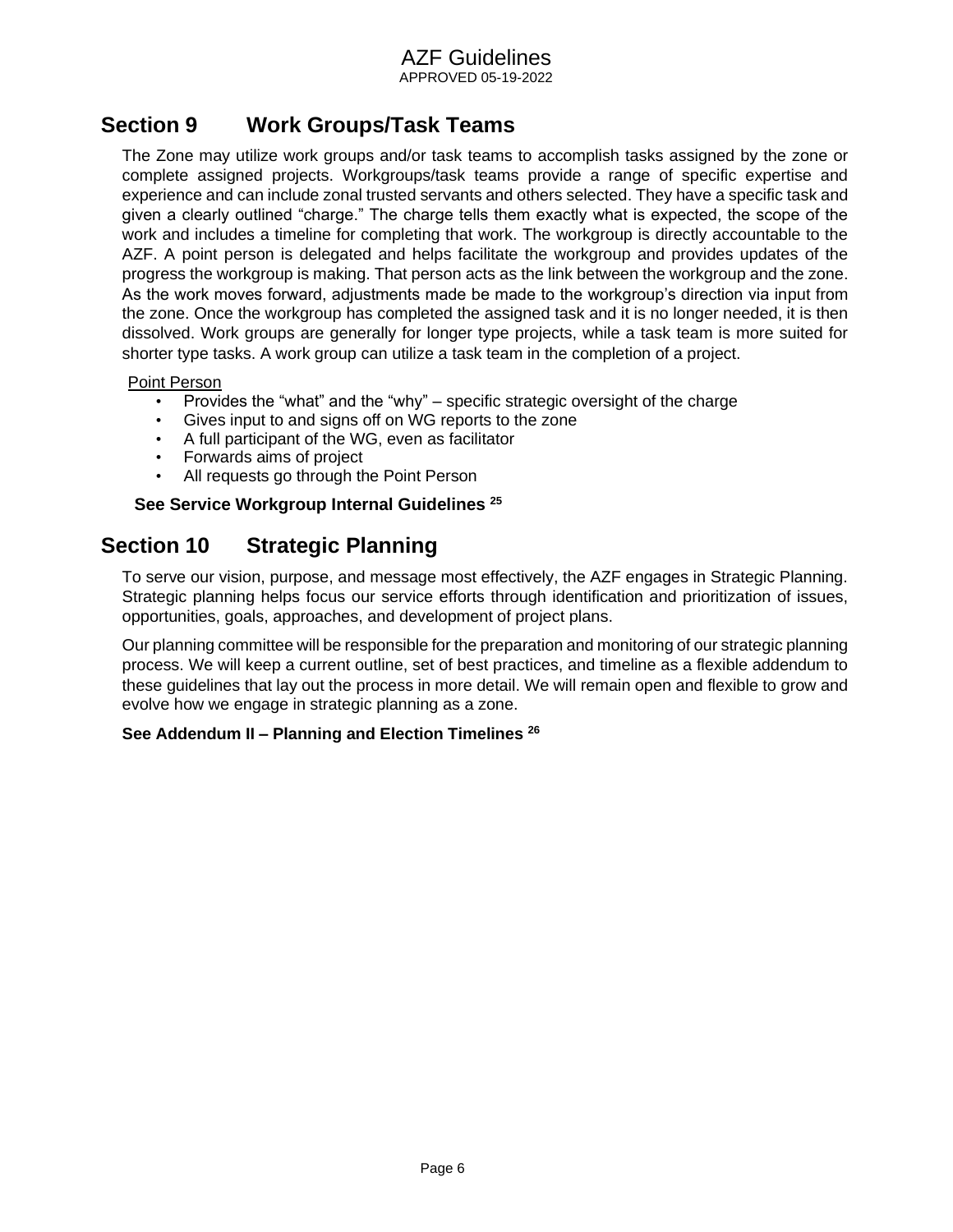APPROVED 05-19-2022

## <span id="page-6-0"></span>**Section 9 Work Groups/Task Teams**

The Zone may utilize work groups and/or task teams to accomplish tasks assigned by the zone or complete assigned projects. Workgroups/task teams provide a range of specific expertise and experience and can include zonal trusted servants and others selected. They have a specific task and given a clearly outlined "charge." The charge tells them exactly what is expected, the scope of the work and includes a timeline for completing that work. The workgroup is directly accountable to the AZF. A point person is delegated and helps facilitate the workgroup and provides updates of the progress the workgroup is making. That person acts as the link between the workgroup and the zone. As the work moves forward, adjustments made be made to the workgroup's direction via input from the zone. Once the workgroup has completed the assigned task and it is no longer needed, it is then dissolved. Work groups are generally for longer type projects, while a task team is more suited for shorter type tasks. A work group can utilize a task team in the completion of a project.

#### Point Person

- Provides the "what" and the "why" specific strategic oversight of the charge
- Gives input to and signs off on WG reports to the zone
- A full participant of the WG, even as facilitator
- Forwards aims of project
- All requests go through the Point Person

#### **See Service Workgroup Internal Guidelines <sup>25</sup>**

## <span id="page-6-1"></span>**Section 10 Strategic Planning**

To serve our vision, purpose, and message most effectively, the AZF engages in Strategic Planning. Strategic planning helps focus our service efforts through identification and prioritization of issues, opportunities, goals, approaches, and development of project plans.

Our planning committee will be responsible for the preparation and monitoring of our strategic planning process. We will keep a current outline, set of best practices, and timeline as a flexible addendum to these guidelines that lay out the process in more detail. We will remain open and flexible to grow and evolve how we engage in strategic planning as a zone.

#### **See Addendum II – Planning and Election Timelines <sup>26</sup>**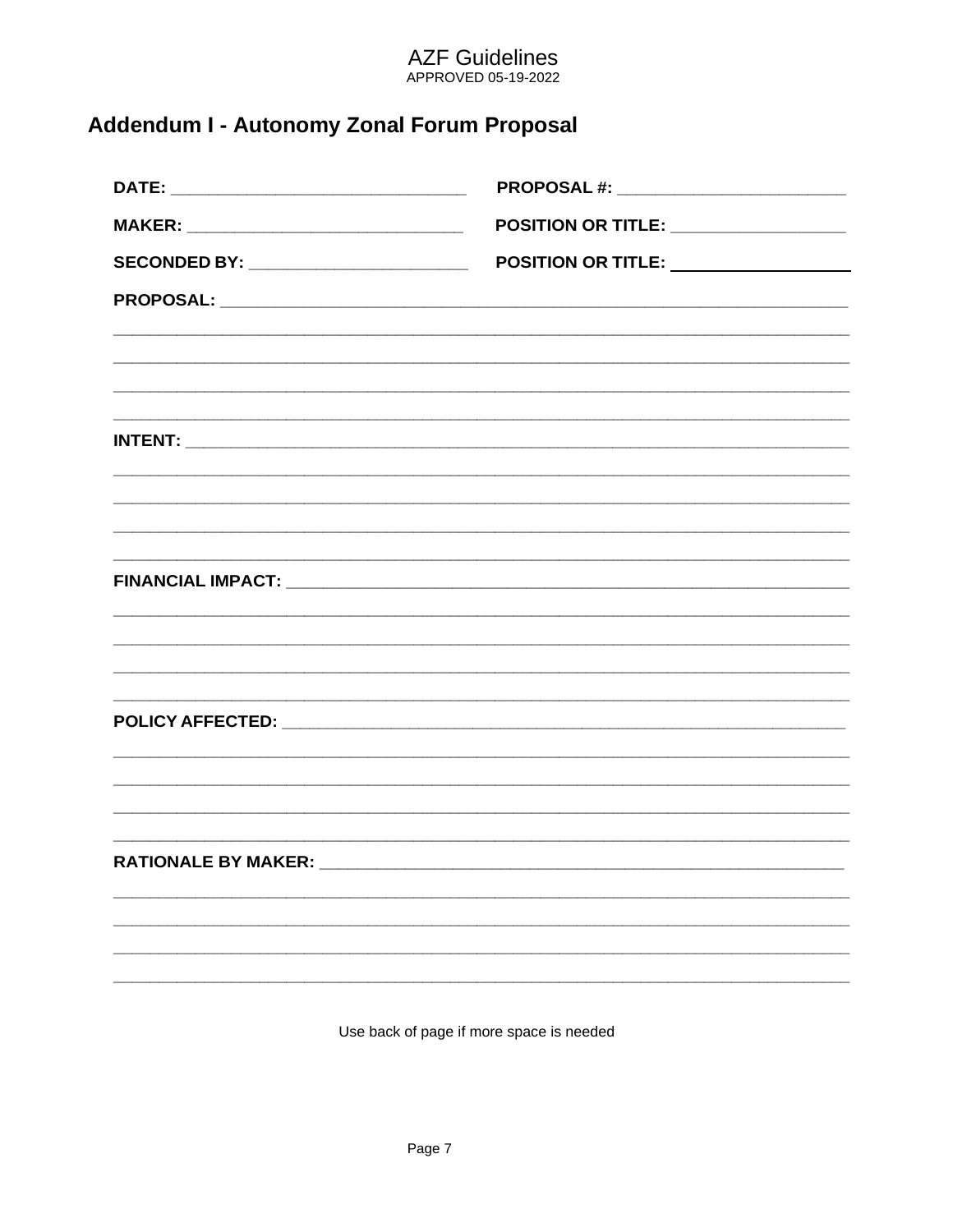# AZF Guidelines<br>APPROVED 05-19-2022

## <span id="page-7-0"></span>Addendum I - Autonomy Zonal Forum Proposal

| <b>POSITION OR TITLE:</b> ___________________ |
|-----------------------------------------------|
|                                               |
|                                               |
|                                               |
|                                               |
|                                               |
|                                               |
|                                               |
|                                               |
|                                               |
|                                               |
|                                               |
|                                               |
|                                               |
|                                               |
|                                               |
|                                               |
|                                               |
|                                               |
|                                               |
|                                               |

Use back of page if more space is needed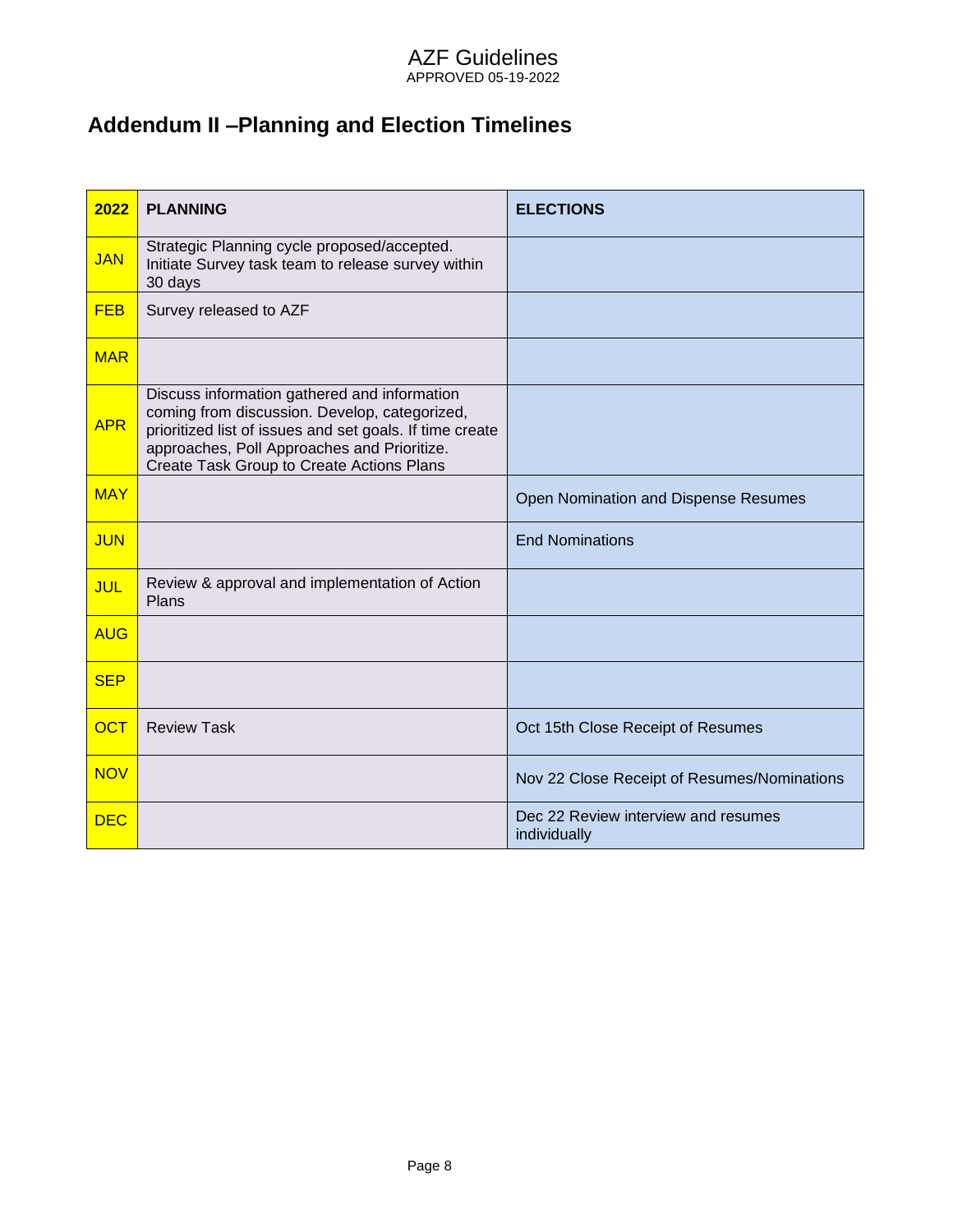# <span id="page-8-0"></span>**Addendum II –Planning and Election Timelines**

| 2022       | <b>PLANNING</b>                                                                                                                                                                                                                                       | <b>ELECTIONS</b>                                    |
|------------|-------------------------------------------------------------------------------------------------------------------------------------------------------------------------------------------------------------------------------------------------------|-----------------------------------------------------|
| <b>JAN</b> | Strategic Planning cycle proposed/accepted.<br>Initiate Survey task team to release survey within<br>30 days                                                                                                                                          |                                                     |
| <b>FEB</b> | Survey released to AZF                                                                                                                                                                                                                                |                                                     |
| <b>MAR</b> |                                                                                                                                                                                                                                                       |                                                     |
| <b>APR</b> | Discuss information gathered and information<br>coming from discussion. Develop, categorized,<br>prioritized list of issues and set goals. If time create<br>approaches, Poll Approaches and Prioritize.<br>Create Task Group to Create Actions Plans |                                                     |
| <b>MAY</b> |                                                                                                                                                                                                                                                       | Open Nomination and Dispense Resumes                |
| <b>JUN</b> |                                                                                                                                                                                                                                                       | <b>End Nominations</b>                              |
| <b>JUL</b> | Review & approval and implementation of Action<br>Plans                                                                                                                                                                                               |                                                     |
| <b>AUG</b> |                                                                                                                                                                                                                                                       |                                                     |
| <b>SEP</b> |                                                                                                                                                                                                                                                       |                                                     |
| <b>OCT</b> | <b>Review Task</b>                                                                                                                                                                                                                                    | Oct 15th Close Receipt of Resumes                   |
| <b>NOV</b> |                                                                                                                                                                                                                                                       | Nov 22 Close Receipt of Resumes/Nominations         |
| <b>DEC</b> |                                                                                                                                                                                                                                                       | Dec 22 Review interview and resumes<br>individually |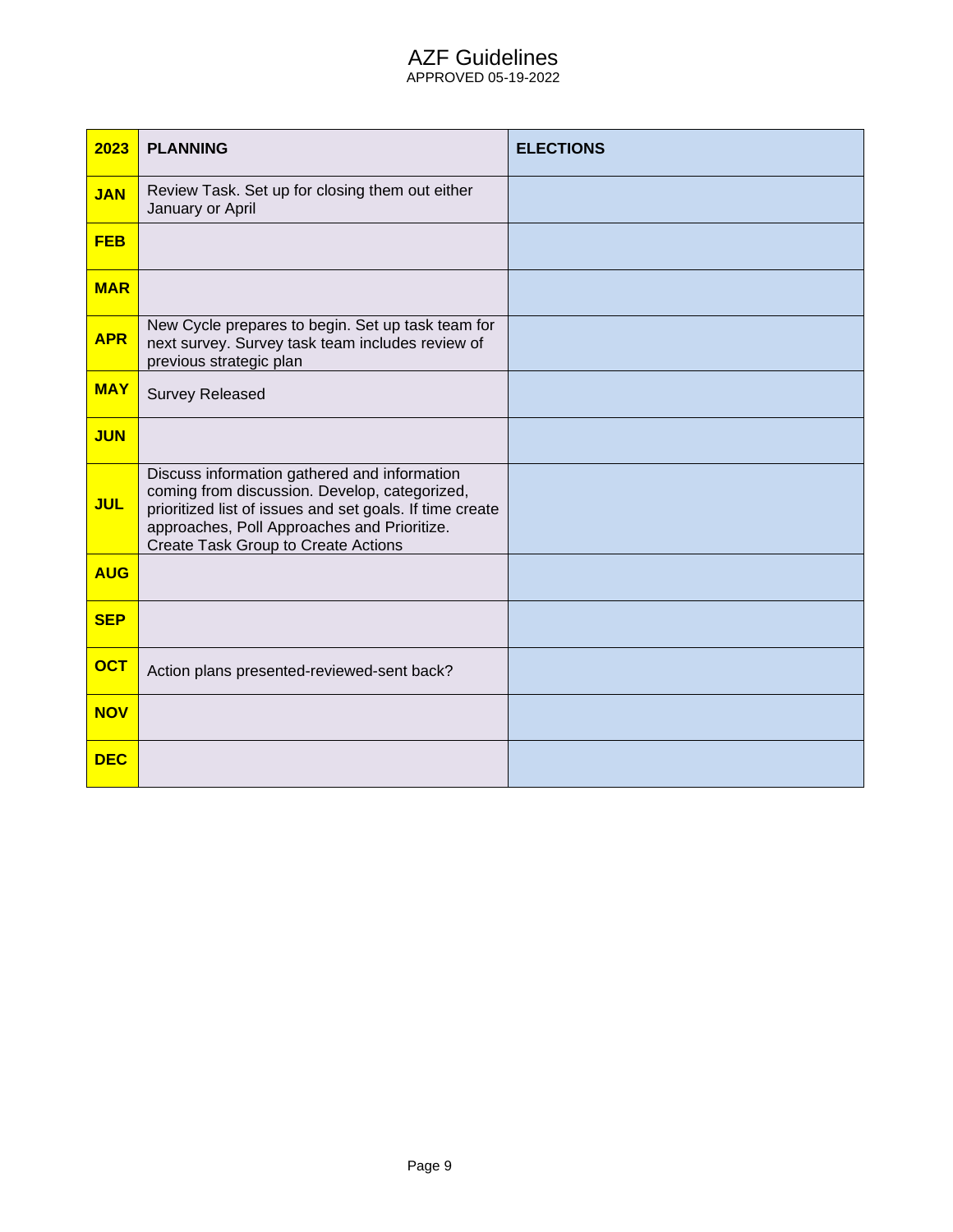#### AZF Guidelines APPROVED 05-19-2022

| 2023       | <b>PLANNING</b>                                                                                                                                                                                                                                        | <b>ELECTIONS</b> |
|------------|--------------------------------------------------------------------------------------------------------------------------------------------------------------------------------------------------------------------------------------------------------|------------------|
| <b>JAN</b> | Review Task. Set up for closing them out either<br>January or April                                                                                                                                                                                    |                  |
| <b>FEB</b> |                                                                                                                                                                                                                                                        |                  |
| <b>MAR</b> |                                                                                                                                                                                                                                                        |                  |
| <b>APR</b> | New Cycle prepares to begin. Set up task team for<br>next survey. Survey task team includes review of<br>previous strategic plan                                                                                                                       |                  |
| <b>MAY</b> | <b>Survey Released</b>                                                                                                                                                                                                                                 |                  |
| <b>JUN</b> |                                                                                                                                                                                                                                                        |                  |
| <b>JUL</b> | Discuss information gathered and information<br>coming from discussion. Develop, categorized,<br>prioritized list of issues and set goals. If time create<br>approaches, Poll Approaches and Prioritize.<br><b>Create Task Group to Create Actions</b> |                  |
| <b>AUG</b> |                                                                                                                                                                                                                                                        |                  |
| <b>SEP</b> |                                                                                                                                                                                                                                                        |                  |
| <b>OCT</b> | Action plans presented-reviewed-sent back?                                                                                                                                                                                                             |                  |
| <b>NOV</b> |                                                                                                                                                                                                                                                        |                  |
| <b>DEC</b> |                                                                                                                                                                                                                                                        |                  |